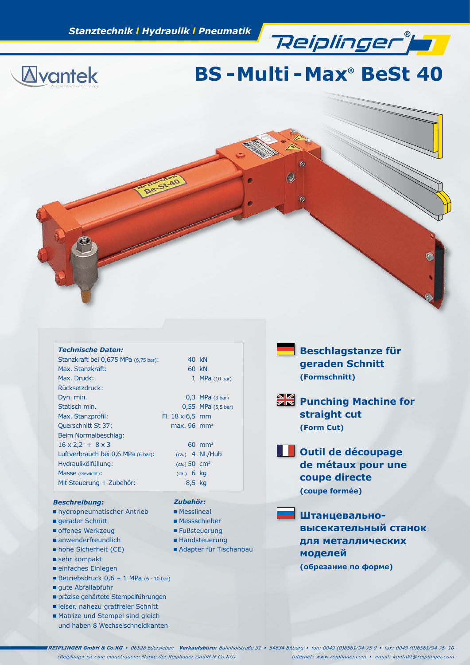**®**



# **BS - Multi - Max® BeSt 40**



| <b>Technische Daten:</b>             |                          |                                |
|--------------------------------------|--------------------------|--------------------------------|
| Stanzkraft bei 0,675 MPa (6,75 bar): |                          | 40 kN                          |
| Max. Stanzkraft:                     |                          | 60 kN                          |
| Max. Druck:                          |                          | 1 MPa $(10 \text{ bar})$       |
| Rücksetzdruck:                       |                          |                                |
| Dyn. min.                            |                          | $0,3$ MPa (3 bar)              |
| Statisch min.                        |                          | $0,55$ MPa $(5,5 \text{ bar})$ |
| Max. Stanzprofil:                    | $F1.18 \times 6.5$ mm    |                                |
| <b>Querschnitt St 37:</b>            | max. $96 \, \text{mm}^2$ |                                |
| Beim Normalbeschlag:                 |                          |                                |
| $16 \times 2,2 + 8 \times 3$         |                          | $60 \text{ mm}^2$              |
| Luftverbrauch bei 0,6 MPa (6 bar):   |                          | $(ca.)$ 4 NL/Hub               |
| Hydraulikölfüllung:                  | (ca.) 50 cm <sup>3</sup> |                                |
| Masse (Gewicht):                     | $(ca.)$ 6 kg             |                                |
| Mit Steuerung + Zubehör:             | 8,5 kg                   |                                |

*Zubehör:* **Messlineal** ■ Messschieber ■ Fußsteuerung ■ Handsteuerung Adapter für Tischanbau

#### *Beschreibung:*

- hydropneumatischer Antrieb
- gerader Schnitt
- offenes Werkzeug
- anwenderfreundlich
- hohe Sicherheit (CE)
- sehr kompakt
- einfaches Einlegen
- Betriebsdruck  $0,6 1$  MPa  $(6 10$  bar)
- qute Abfallabfuhr
- präzise gehärtete Stempelführungen
- leiser, nahezu gratfreier Schnitt
- Matrize und Stempel sind gleich und haben 8 Wechselschneidkanten

**Beschlagstanze für geraden Schnitt (Formschnitt)**

- **Punching Machine for straight cut (Form Cut)**
- **COUTE DE LA COUPAGE de métaux pour une coupe directe (coupe formée)**
- **Штанцевальновысекательный станок для металлических моделей (обрезание по форме)**

**REIPLINGER GmbH & Co.KG** . 06528 Edersleben **Verkaufsbüro:** Bahnhofstraße 31 . 54634 Bitburg . fon: 0049 (0)6561/94 75 0 . fax: 0049 (0)6561/94 75 10 (Reiplinger ist eine eingetragene Marke der Reiplinger GmbH & Co.KG) Internet: www.reiplinger.com . email: kontakt@reiplinger.com